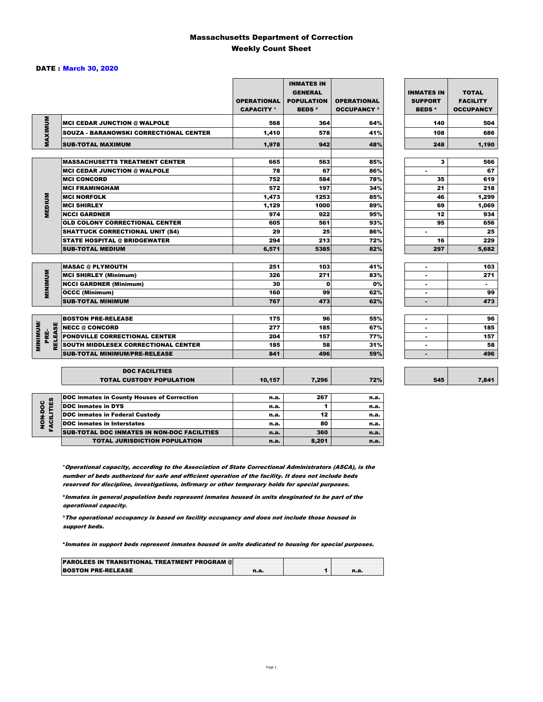### Massachusetts Department of Correction Weekly Count Sheet

#### DATE : March 30, 2020

|                                   |                                                   | <b>OPERATIONAL</b><br><b>CAPACITY</b> 1 | <b>INMATES IN</b><br><b>GENERAL</b><br><b>POPULATION</b><br><b>BEDS<sup>2</sup></b> | <b>OPERATIONAL</b><br><b>OCCUPANCY 3</b> | <b>INMATES IN</b><br><b>SUPPORT</b><br><b>BEDS<sup>4</sup></b> | <b>TOTAL</b><br><b>FACILITY</b><br><b>OCCUPANCY</b> |
|-----------------------------------|---------------------------------------------------|-----------------------------------------|-------------------------------------------------------------------------------------|------------------------------------------|----------------------------------------------------------------|-----------------------------------------------------|
|                                   | <b>MCI CEDAR JUNCTION @ WALPOLE</b>               | 568                                     | 364                                                                                 | 64%                                      | 140                                                            | 504                                                 |
|                                   | <b>SOUZA - BARANOWSKI CORRECTIONAL CENTER</b>     | 1,410                                   | 578                                                                                 | 41%                                      | 108                                                            | 686                                                 |
| MAXIMUM                           | <b>SUB-TOTAL MAXIMUM</b>                          | 1.978                                   | 942                                                                                 | 48%                                      | 248                                                            | 1,190                                               |
|                                   |                                                   |                                         |                                                                                     |                                          |                                                                |                                                     |
|                                   | <b>MASSACHUSETTS TREATMENT CENTER</b>             | 665                                     | 563                                                                                 | 85%                                      | 3                                                              | 566                                                 |
|                                   | <b>MCI CEDAR JUNCTION @ WALPOLE</b>               | 78                                      | 67                                                                                  | 86%                                      | $\blacksquare$                                                 | 67                                                  |
|                                   | <b>MCI CONCORD</b>                                | 752                                     | 584                                                                                 | 78%                                      | 35                                                             | 619                                                 |
|                                   | <b>MCI FRAMINGHAM</b>                             | 572                                     | 197                                                                                 | 34%                                      | 21                                                             | 218                                                 |
| <b>MEDIUM</b>                     | <b>MCI NORFOLK</b>                                | 1,473                                   | 1253                                                                                | 85%                                      | 46                                                             | 1,299                                               |
|                                   | <b>MCI SHIRLEY</b>                                | 1,129                                   | 1000                                                                                | 89%                                      | 69                                                             | 1,069                                               |
|                                   | <b>NCCI GARDNER</b>                               | 974                                     | 922                                                                                 | 95%                                      | 12                                                             | 934                                                 |
|                                   | <b>OLD COLONY CORRECTIONAL CENTER</b>             | 605                                     | 561                                                                                 | 93%                                      | 95                                                             | 656                                                 |
|                                   | <b>SHATTUCK CORRECTIONAL UNIT (S4)</b>            | 29                                      | 25                                                                                  | 86%                                      | $\blacksquare$                                                 | 25                                                  |
|                                   | <b>STATE HOSPITAL @ BRIDGEWATER</b>               | 294                                     | 213                                                                                 | 72%                                      | 16                                                             | 229                                                 |
|                                   | <b>SUB-TOTAL MEDIUM</b>                           | 6,571                                   | 5385                                                                                | 82%                                      | 297                                                            | 5,682                                               |
|                                   | <b>MASAC @ PLYMOUTH</b>                           | 251                                     | 103                                                                                 | 41%                                      |                                                                | 103                                                 |
| <b>MINIMUM</b>                    | <b>MCI SHIRLEY (Minimum)</b>                      | 326                                     | 271                                                                                 | 83%                                      | ÷.                                                             | 271                                                 |
|                                   | <b>NCCI GARDNER (Minimum)</b>                     | 30                                      | $\mathbf{0}$                                                                        | 0%                                       | $\sim$                                                         | $\sim$                                              |
|                                   | <b>OCCC (Minimum)</b>                             | 160                                     | 99                                                                                  | 62%                                      | $\blacksquare$                                                 | 99                                                  |
|                                   | <b>SUB-TOTAL MINIMUM</b>                          | 767                                     | 473                                                                                 | 62%                                      | $\blacksquare$                                                 | 473                                                 |
|                                   |                                                   |                                         |                                                                                     |                                          |                                                                |                                                     |
|                                   | <b>BOSTON PRE-RELEASE</b>                         | 175                                     | 96                                                                                  | 55%                                      | $\blacksquare$                                                 | 96                                                  |
| <b>MINIMINI</b><br><b>RELEASE</b> | <b>NECC @ CONCORD</b>                             | 277                                     | 185                                                                                 | 67%                                      |                                                                | 185                                                 |
| PRE-                              | <b>PONDVILLE CORRECTIONAL CENTER</b>              | 204                                     | 157                                                                                 | 77%                                      | $\blacksquare$                                                 | 157                                                 |
|                                   | SOUTH MIDDLESEX CORRECTIONAL CENTER               | 185                                     | 58                                                                                  | 31%                                      | $\blacksquare$                                                 | 58                                                  |
|                                   | <b>SUB-TOTAL MINIMUM/PRE-RELEASE</b>              | 841                                     | 496                                                                                 | 59%                                      |                                                                | 496                                                 |
|                                   | <b>DOC FACILITIES</b>                             |                                         |                                                                                     |                                          |                                                                |                                                     |
|                                   | <b>TOTAL CUSTODY POPULATION</b>                   | 10,157                                  | 7,296                                                                               | 72%                                      | 545                                                            | 7,841                                               |
|                                   | <b>DOC inmates in County Houses of Correction</b> | n.a.                                    | 267                                                                                 | n.a.                                     |                                                                |                                                     |
| <b>FACILITIES</b>                 | <b>DOC</b> inmates in DYS                         | n.a.                                    | 1                                                                                   | n.a.                                     |                                                                |                                                     |
|                                   | <b>DOC inmates in Federal Custody</b>             | n.a.                                    | 12                                                                                  | n.a.                                     |                                                                |                                                     |
| NON-DOC                           | <b>DOC</b> inmates in Interstates                 | n.a.                                    | 80                                                                                  | n.a.                                     |                                                                |                                                     |
|                                   | CUR TOTAL BOO INIMETED IN NON BOO FACULTIED       |                                         | $\sim$                                                                              |                                          |                                                                |                                                     |

**Operational capacity, according to the Association of State Correctional Administrators (ASCA), is the** number of beds authorized for safe and efficient operation of the facility. It does not include beds reserved for discipline, investigations, infirmary or other temporary holds for special purposes.

SUB-TOTAL DOC INMATES IN NON-DOC FACILITIES n.a. 360 n.a. 360 n.a.

TOTAL JURISDICTION POPULATION **n.a.** 8,201 n.a.

²Inmates in general population beds represent inmates housed in units desginated to be part of the operational capacity.

³The operational occupancy is based on facility occupancy and does not include those housed in support beds.

⁴Inmates in support beds represent inmates housed in units dedicated to housing for special purposes.

| <b>PAROLEES IN TRANSITIONAL TREATMENT PROGRAM @</b> |  |  |
|-----------------------------------------------------|--|--|
| <b>BOSTON PRE-RELEASE</b>                           |  |  |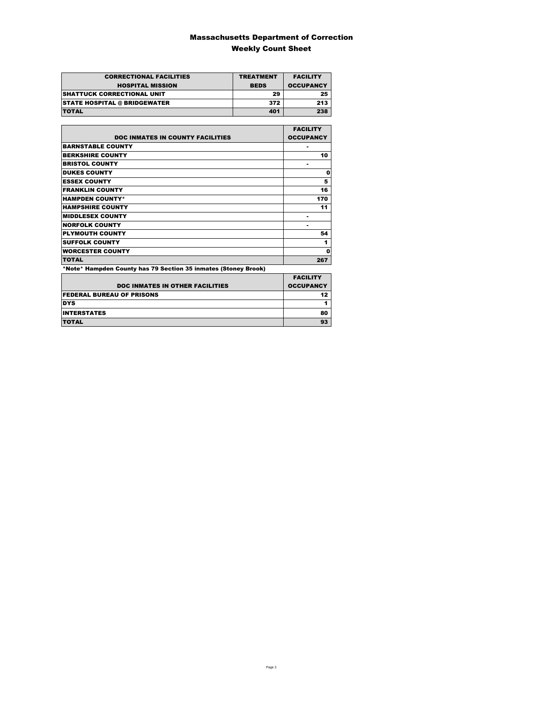### Massachusetts Department of Correction Weekly Count Sheet

| <b>CORRECTIONAL FACILITIES</b>      | <b>TREATMENT</b> | <b>FACILITY</b>  |
|-------------------------------------|------------------|------------------|
| <b>HOSPITAL MISSION</b>             | <b>BEDS</b>      | <b>OCCUPANCY</b> |
| <b>SHATTUCK CORRECTIONAL UNIT</b>   | 29               | 25               |
| <b>STATE HOSPITAL @ BRIDGEWATER</b> | 372              | 213              |
| <b>TOTAL</b>                        | 401              | 238              |

|                                                                | <b>FACILITY</b>  |
|----------------------------------------------------------------|------------------|
| <b>DOC INMATES IN COUNTY FACILITIES</b>                        | <b>OCCUPANCY</b> |
| <b>BARNSTABLE COUNTY</b>                                       |                  |
| <b>BERKSHIRE COUNTY</b>                                        | 10               |
| <b>BRISTOL COUNTY</b>                                          |                  |
| <b>DUKES COUNTY</b>                                            | 0                |
| <b>ESSEX COUNTY</b>                                            | 5                |
| <b>FRANKLIN COUNTY</b>                                         | 16               |
| <b>HAMPDEN COUNTY*</b>                                         | 170              |
| <b>HAMPSHIRE COUNTY</b>                                        | 11               |
| <b>MIDDLESEX COUNTY</b>                                        |                  |
| <b>NORFOLK COUNTY</b>                                          |                  |
| <b>PLYMOUTH COUNTY</b>                                         | 54               |
| <b>SUFFOLK COUNTY</b>                                          | 1                |
| <b>WORCESTER COUNTY</b>                                        | 0                |
| <b>TOTAL</b>                                                   | 267              |
| *Note* Hampden County has 79 Section 35 inmates (Stoney Brook) |                  |

|                                        | <b>FACILITY</b>  |
|----------------------------------------|------------------|
| <b>DOC INMATES IN OTHER FACILITIES</b> | <b>OCCUPANCY</b> |
| <b>FEDERAL BUREAU OF PRISONS</b>       | 12 <sub>2</sub>  |
| <b>DYS</b>                             |                  |
| <b>INTERSTATES</b>                     | 80               |
| <b>TOTAL</b>                           | 93               |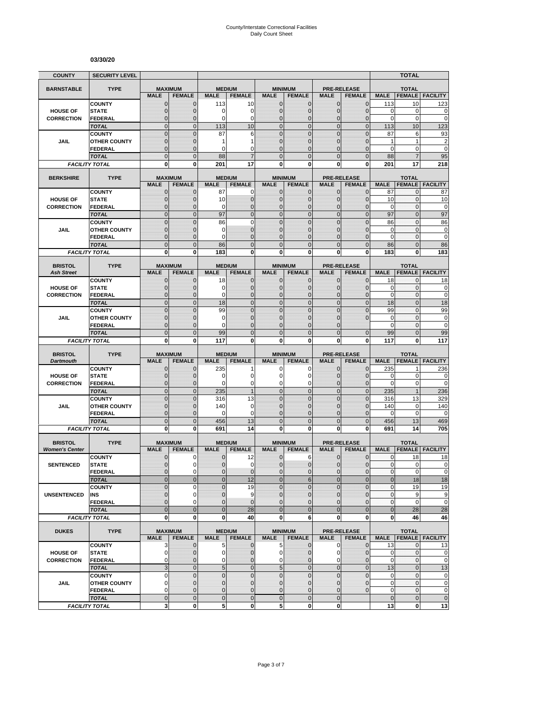#### **03/30/20**

| <b>COUNTY</b>                           | <b>SECURITY LEVEL</b>                |                                  |                              |                            |                                |                                |                                  |                                |                                     |                           | <b>TOTAL</b>                  |                         |
|-----------------------------------------|--------------------------------------|----------------------------------|------------------------------|----------------------------|--------------------------------|--------------------------------|----------------------------------|--------------------------------|-------------------------------------|---------------------------|-------------------------------|-------------------------|
| <b>BARNSTABLE</b>                       | <b>TYPE</b>                          | <b>MAXIMUM</b>                   |                              | <b>MEDIUM</b>              |                                |                                | <b>MINIMUM</b>                   |                                | <b>PRE-RELEASE</b>                  |                           | <b>TOTAL</b>                  |                         |
|                                         |                                      | <b>MALE</b>                      | <b>FEMALE</b>                | <b>MALE</b>                | <b>FEMALE</b>                  | <b>MALE</b>                    | <b>FEMALE</b>                    | <b>MALE</b>                    | <b>FEMALE</b>                       | <b>MALE</b>               | <b>FEMALE</b>                 | <b>FACILITY</b>         |
|                                         | <b>COUNTY</b>                        | $\mathbf 0$                      | $\mathbf{0}$                 | 113                        | 10                             | $\mathbf{0}$                   | 0                                | $\mathbf{0}$                   | $\overline{0}$                      | 113                       | 10                            | 123                     |
| <b>HOUSE OF</b>                         | <b>STATE</b>                         | $\mathbf 0$                      | $\mathbf{0}$                 | 0                          | 0                              | $\mathbf{0}$                   | 0                                | $\mathbf{0}$                   | $\overline{0}$                      | 0                         | 0                             | 0                       |
| <b>CORRECTION</b>                       | <b>FEDERAL</b><br><b>TOTAL</b>       | $\overline{0}$<br>$\mathbf 0$    | $\Omega$<br>$\mathbf{0}$     | 0<br>113                   | $\overline{0}$<br>10           | $\mathbf{0}$<br>$\mathbf{0}$   | $\overline{0}$<br>$\mathbf 0$    | $\Omega$<br>$\mathbf{0}$       | $\overline{0}$<br>$\overline{0}$    | $\mathbf 0$<br>113        | 0<br>10                       | $\mathbf 0$<br>123      |
|                                         | <b>COUNTY</b>                        | $\mathbf 0$                      | $\mathbf{0}$                 | 87                         | 6                              | $\mathbf{0}$                   | $\mathbf 0$                      | $\mathbf{0}$                   | $\mathbf 0$                         | 87                        | 6                             | 93                      |
| JAIL                                    | <b>OTHER COUNTY</b>                  | $\overline{0}$                   | $\Omega$                     | 1                          | 1                              | $\Omega$                       | $\overline{0}$                   | $\Omega$                       | $\overline{0}$                      | 1                         | 1                             | $\overline{\mathbf{c}}$ |
|                                         | <b>FEDERAL</b>                       | 0                                | $\mathbf{0}$                 | 0                          | 0                              | $\mathbf{0}$                   | 0                                | $\mathbf 0$                    | $\mathbf{0}$                        | 0                         | 0                             | $\overline{0}$          |
|                                         | <b>TOTAL</b>                         | $\overline{0}$                   | $\overline{0}$               | 88                         | $\overline{7}$                 | $\mathbf 0$                    | $\overline{0}$                   | $\Omega$                       | $\overline{0}$                      | 88                        | $\overline{7}$                | 95                      |
|                                         | <b>FACILITY TOTAL</b>                | $\mathbf{0}$                     | $\mathbf{0}$                 | 201                        | 17                             | $\mathbf{0}$                   | $\bf{0}$                         | 0                              | $\mathbf{0}$                        | 201                       | 17                            | 218                     |
| <b>BERKSHIRE</b>                        | <b>TYPE</b>                          | <b>MAXIMUM</b>                   |                              |                            | <b>MEDIUM</b>                  |                                | <b>MINIMUM</b>                   |                                | <b>PRE-RELEASE</b>                  |                           | <b>TOTAL</b>                  |                         |
|                                         |                                      | <b>MALE</b>                      | <b>FEMALE</b>                | <b>MALE</b>                | <b>FEMALE</b>                  | <b>MALE</b>                    | <b>FEMALE</b>                    | <b>MALE</b>                    | <b>FEMALE</b>                       | <b>MALE</b>               | <b>FEMALE</b>                 | <b>FACILITY</b>         |
|                                         | <b>COUNTY</b>                        | 0                                | $\mathbf 0$                  | 87                         | 0                              | $\mathbf{0}$                   | $\mathbf{0}$                     | $\mathbf{0}$                   | $\mathbf{0}$                        | 87                        | 0                             | 87                      |
| <b>HOUSE OF</b>                         | <b>STATE</b>                         | $\mathbf 0$                      | $\mathbf{0}$                 | 10                         | $\mathbf 0$                    | $\mathbf{0}$                   | $\mathbf 0$                      | $\mathbf{0}$                   | $\overline{0}$                      | 10                        | $\mathbf{0}$                  | 10                      |
| <b>CORRECTION</b>                       | <b>FEDERAL</b>                       | $\mathbf{0}$<br>$\overline{0}$   | $\mathbf{0}$<br>$\mathbf{0}$ | 0<br>97                    | $\mathbf{0}$<br>$\overline{0}$ | $\mathbf{0}$<br>$\Omega$       | $\mathbf{0}$<br>$\overline{0}$   | $\mathbf{0}$<br>$\overline{0}$ | $\overline{0}$<br>$\overline{0}$    | $\mathbf 0$<br>97         | $\mathbf 0$<br>$\overline{0}$ | $\mathbf 0$<br>97       |
|                                         | <b>TOTAL</b><br><b>COUNTY</b>        | $\overline{0}$                   | $\Omega$                     | 86                         | $\overline{0}$                 | $\mathbf 0$                    | $\overline{0}$                   | $\overline{0}$                 | $\overline{0}$                      | 86                        | $\mathbf 0$                   | 86                      |
| JAIL                                    | <b>OTHER COUNTY</b>                  | $\mathbf 0$                      | $\mathbf{0}$                 | 0                          | $\overline{0}$                 | $\mathbf{0}$                   | $\mathbf 0$                      | $\mathbf 0$                    | $\overline{0}$                      | 0                         | 0                             | 0                       |
|                                         | <b>FEDERAL</b>                       | $\overline{0}$                   | $\mathbf{0}$                 | 0                          | $\overline{0}$                 | $\mathbf{0}$                   | $\mathbf 0$                      | $\mathbf 0$                    | $\overline{0}$                      | $\mathbf 0$               | $\mathbf{0}$                  | $\mathbf 0$             |
|                                         | <b>TOTAL</b>                         | $\mathbf 0$                      | $\mathbf{0}$                 | 86                         | $\mathbf 0$                    | $\overline{0}$                 | $\mathbf 0$                      | $\mathbf{0}$                   | $\mathbf 0$                         | 86                        | $\mathbf{0}$                  | 86                      |
|                                         | <b>FACILITY TOTAL</b>                | $\mathbf 0$                      | $\bf{0}$                     | 183                        | $\mathbf 0$                    | 0                              | $\mathbf 0$                      | $\mathbf{0}$                   | $\mathbf{0}$                        | 183                       | 0                             | 183                     |
| <b>BRISTOL</b>                          | <b>TYPE</b>                          | <b>MAXIMUM</b>                   |                              |                            | <b>MEDIUM</b>                  |                                | <b>MINIMUM</b>                   |                                | <b>PRE-RELEASE</b>                  |                           | <b>TOTAL</b>                  |                         |
| <b>Ash Street</b>                       |                                      | <b>MALE</b>                      | <b>FEMALE</b>                | <b>MALE</b>                | <b>FEMALE</b>                  | <b>MALE</b>                    | <b>FEMALE</b>                    | <b>MALE</b>                    | <b>FEMALE</b>                       | <b>MALE</b>               | <b>FEMALE</b>                 | <b>FACILITY</b>         |
|                                         | <b>COUNTY</b>                        | $\mathbf 0$                      | $\mathbf{0}$                 | 18                         | $\mathbf 0$                    | $\mathbf{0}$                   | $\mathbf{0}$                     | $\mathbf{0}$                   | $\overline{0}$                      | 18                        | 0                             | 18                      |
| <b>HOUSE OF</b>                         | <b>STATE</b>                         | 0                                | $\mathbf{0}$                 | 0                          | $\mathbf 0$                    | $\Omega$                       | 0                                | $\mathbf{0}$                   | $\mathbf{0}$                        | $\mathbf 0$               | 0                             | $\bf{0}$                |
| <b>CORRECTION</b>                       | <b>FEDERAL</b>                       | $\overline{0}$                   | $\mathbf{0}$                 | 0                          | $\mathbf 0$                    | $\mathbf{0}$                   | $\mathbf 0$                      | $\mathbf{0}$                   | $\overline{0}$                      | $\mathbf 0$               | $\mathbf{0}$                  | $\mathbf 0$             |
|                                         | <b>TOTAL</b>                         | $\mathbf 0$                      | $\mathbf{0}$                 | 18                         | $\mathbf 0$<br>$\Omega$        | $\mathbf{0}$<br>$\Omega$       | $\mathbf 0$                      | $\mathbf{0}$<br>$\Omega$       | $\mathbf 0$                         | 18                        | $\overline{0}$                | 18                      |
| JAIL                                    | <b>COUNTY</b><br><b>OTHER COUNTY</b> | $\overline{0}$<br>$\overline{0}$ | $\Omega$<br>$\mathbf 0$      | 99<br>0                    | $\overline{0}$                 | $\mathbf{0}$                   | $\overline{0}$<br>$\overline{0}$ | 0                              | $\overline{0}$<br>$\Omega$          | 99<br>$\mathbf 0$         | $\mathbf{0}$<br>$\mathbf 0$   | 99<br>$\mathbf 0$       |
|                                         | FEDERAL                              | $\mathbf 0$                      | $\mathbf{0}$                 | 0                          | $\overline{0}$                 | $\mathbf{0}$                   | 0                                | $\Omega$                       |                                     | 0                         | 0                             | $\bf{0}$                |
|                                         | <b>TOTAL</b>                         | $\overline{0}$                   | $\overline{0}$               | 99                         | $\overline{0}$                 | $\overline{0}$                 | $\overline{0}$                   | $\Omega$                       | $\overline{0}$                      | 99                        | $\overline{0}$                | 99                      |
|                                         | <b>FACILITY TOTAL</b>                | 0                                | 0                            | 117                        | 0                              | 0                              | 0                                | 0                              | 0                                   | 117                       | 0                             | 117                     |
| <b>BRISTOL</b>                          | <b>TYPE</b>                          | <b>MAXIMUM</b>                   |                              |                            | <b>MEDIUM</b>                  |                                | <b>MINIMUM</b>                   |                                | <b>PRE-RELEASE</b>                  |                           | <b>TOTAL</b>                  |                         |
| <b>Dartmouth</b>                        |                                      | <b>MALE</b>                      | <b>FEMALE</b>                | <b>MALE</b>                | <b>FEMALE</b>                  | <b>MALE</b>                    | <b>FEMALE</b>                    | <b>MALE</b>                    | <b>FEMALE</b>                       | <b>MALE</b>               | <b>FEMALE</b>                 | <b>FACILITY</b>         |
|                                         | <b>COUNTY</b>                        | $\overline{0}$                   | $\mathbf{0}$                 | 235                        | 1                              | 0                              | 0                                | $\mathbf{0}$                   | $\overline{0}$                      | 235                       | 1                             | 236                     |
| <b>HOUSE OF</b>                         | <b>STATE</b>                         | 0                                | $\mathbf{0}$                 | 0                          | 0                              | 0                              | 0                                | $\mathbf 0$                    | $\mathbf 0$                         | 0                         | 0                             | 0                       |
| <b>CORRECTION</b>                       | <b>FEDERAL</b>                       | $\overline{0}$                   | $\mathbf{0}$                 | 0                          | 0                              | $\mathbf 0$                    | 0                                | $\mathbf 0$                    | $\mathbf{0}$                        | $\mathbf 0$               | 0                             | $\mathbf 0$             |
|                                         | <b>TOTAL</b>                         | $\overline{0}$<br>$\mathbf 0$    | $\mathbf{0}$<br>$\mathbf{0}$ | 235                        | 1                              | $\overline{0}$<br>$\mathbf{0}$ | $\overline{0}$<br>$\mathbf 0$    | $\mathbf{0}$<br>$\mathbf{0}$   | $\overline{0}$<br>$\mathbf 0$       | 235                       | $\mathbf{1}$                  | 236                     |
| <b>JAIL</b>                             | <b>COUNTY</b><br><b>OTHER COUNTY</b> | $\overline{0}$                   | $\Omega$                     | 316<br>140                 | 13<br>$\mathbf 0$              | $\Omega$                       | $\overline{0}$                   | $\Omega$                       | $\overline{0}$                      | 316<br>140                | 13<br>0                       | 329<br>140              |
|                                         | <b>FEDERAL</b>                       | $\mathbf 0$                      | $\mathbf{0}$                 | 0                          | 0                              | $\mathbf{0}$                   | $\mathbf 0$                      | $\mathbf 0$                    | $\overline{0}$                      | $\mathbf 0$               | $\mathbf 0$                   | $\mathbf 0$             |
|                                         | <b>TOTAL</b>                         | $\mathbf 0$                      | $\overline{0}$               | 456                        | 13                             | $\mathbf{0}$                   | $\mathbf 0$                      | $\overline{0}$                 | $\overline{0}$                      | 456                       | 13                            | 469                     |
|                                         | <b>FACILITY TOTAL</b>                | 0                                | $\mathbf{0}$                 | 691                        | 14                             | $\mathbf{0}$                   | $\bf{0}$                         | 0                              | 0                                   | 691                       | 14                            | 705                     |
|                                         | <b>TYPE</b>                          |                                  |                              |                            |                                |                                |                                  |                                | <b>PRE-RELEASE</b>                  |                           |                               |                         |
| <b>BRISTOL</b><br><b>Women's Center</b> |                                      | <b>MAXIMUM</b><br><b>MALE</b>    | <b>FEMALE</b>                | <b>MALE</b>                | <b>MEDIUM</b><br><b>FEMALE</b> | <b>MALE</b>                    | <b>MINIMUM</b><br><b>FEMALE</b>  | <b>MALE</b>                    | <b>FEMALE</b>                       | <b>MALE</b>               | <b>TOTAL</b><br><b>FEMALE</b> | <b>FACILITY</b>         |
|                                         | <b>COUNTY</b>                        | 0                                | 0                            | $\mathbf 0$                | 12                             | $\mathbf 0$                    | 6                                | $\mathbf{0}$                   | $\mathbf{0}$                        | $\mathbf{0}$              | 18                            | 18                      |
| <b>SENTENCED</b>                        | <b>STATE</b>                         | $\Omega$                         | $\Omega$                     | $\Omega$                   | $\Omega$                       | $\Omega$                       | $\Omega$                         | $\Omega$                       | $\Omega$                            | $\mathbf{0}$              | $\mathbf 0$                   | $\mathbf 0$             |
|                                         | <b>FEDERAL</b>                       | $\mathbf 0$                      | $\mathbf 0$                  | 0                          | $\mathbf 0$                    | $\mathbf 0$                    | $\mathbf 0$                      | $\mathbf 0$                    | $\mathbf 0$                         | $\pmb{0}$                 | 0                             | $\pmb{0}$               |
|                                         | <b>TOTAL</b>                         | $\mathbf 0$                      | $\mathbf{0}$                 | $\mathbf 0$                | 12                             | $\mathbf 0$                    | $6\phantom{1}6$                  | $\mathbf{0}$                   | $\overline{0}$                      | $\mathbf 0$               | 18                            | 18                      |
| <b>UNSENTENCED</b>                      | <b>COUNTY</b><br>INS                 | $\mathbf 0$<br>0                 | $\mathbf 0$<br>$\mathbf 0$   | 0<br>$\mathbf 0$           | 19<br>9                        | $\mathbf{0}$<br>$\mathbf{0}$   | $\mathbf 0$<br>$\overline{0}$    | $\overline{0}$<br>$\mathbf{0}$ | $\mathbf 0$<br>$\mathbf{0}$         | $\pmb{0}$<br>$\mathbf{0}$ | 19<br>9                       | 19<br>9                 |
|                                         | <b>FEDERAL</b>                       | $\mathbf 0$                      | $\mathbf 0$                  | $\mathbf 0$                | $\overline{0}$                 | $\mathbf{0}$                   | $\mathbf 0$                      | $\mathbf{0}$                   | $\mathbf 0$                         | $\pmb{0}$                 | $\mathbf 0$                   | $\mathbf 0$             |
|                                         | <b>TOTAL</b>                         | $\overline{0}$                   | $\mathbf{0}$                 | $\mathbf 0$                | 28                             | $\overline{0}$                 | $\mathbf{0}$                     | $\mathbf{0}$                   | $\mathbf 0$                         | $\mathbf 0$               | 28                            | 28                      |
|                                         | <b>FACILITY TOTAL</b>                | $\mathbf{0}$                     | $\bf{0}$                     | 0                          | 40                             | 0                              | 6                                | $\mathbf{0}$                   | 0                                   | 0                         | 46                            | 46                      |
|                                         |                                      |                                  |                              |                            |                                |                                |                                  |                                |                                     |                           |                               |                         |
| <b>DUKES</b>                            | <b>TYPE</b>                          | <b>MAXIMUM</b><br><b>MALE</b>    | <b>FEMALE</b>                | <b>MALE</b>                | <b>MEDIUM</b><br><b>FEMALE</b> | <b>MALE</b>                    | <b>MINIMUM</b><br><b>FEMALE</b>  | <b>MALE</b>                    | <b>PRE-RELEASE</b><br><b>FEMALE</b> | <b>MALE</b>               | <b>TOTAL</b>                  | <b>FEMALE FACILITY</b>  |
|                                         | <b>COUNTY</b>                        | 3                                | $\mathbf{0}$                 | 5                          | $\mathbf 0$                    | 5                              | $\mathbf{0}$                     | $\mathbf 0$                    | $\mathbf 0$                         | 13                        | 0                             | 13                      |
| <b>HOUSE OF</b>                         | <b>STATE</b>                         | $\mathbf 0$                      | $\mathbf 0$                  | 0                          | $\mathbf 0$                    | $\overline{0}$                 | 0                                | 0                              | $\mathbf 0$                         | $\mathbf 0$               | $\mathbf 0$                   | $\mathbf 0$             |
| <b>CORRECTION</b>                       | <b>FEDERAL</b>                       | 0                                | $\mathbf 0$                  | 0                          | 0                              | $\mathbf{0}$                   | 0                                | 0                              | $\overline{0}$                      | 0                         | 0                             | $\mathbf 0$             |
|                                         | <b>TOTAL</b>                         | $\mathbf{3}$                     | $\mathbf{0}$                 | $\sqrt{5}$                 | $\mathbf 0$                    | 5                              | $\mathbf 0$                      | $\mathbf{0}$                   | $\overline{0}$                      | 13                        | $\mathbf 0$                   | 13                      |
| <b>JAIL</b>                             | <b>COUNTY</b><br><b>OTHER COUNTY</b> | $\pmb{0}$<br>0                   | $\mathbf 0$<br>$\mathbf{0}$  | $\mathbf 0$<br>$\mathbf 0$ | $\mathbf 0$<br>$\overline{0}$  | $\mathbf{0}$<br>$\mathbf{0}$   | $\mathbf 0$<br>$\mathbf{0}$      | $\mathbf 0$<br>$\mathbf{0}$    | $\mathbf 0$<br>$\mathbf{0}$         | $\mathbf 0$<br>$\pmb{0}$  | $\mathbf{0}$<br>$\mathbf 0$   | $\pmb{0}$<br>$\pmb{0}$  |
|                                         | <b>FEDERAL</b>                       | 0                                | $\mathbf{0}$                 | $\pmb{0}$                  | $\mathbf 0$                    | $\mathbf{0}$                   | 0                                | $\mathbf{0}$                   | $\mathbf 0$                         | $\pmb{0}$                 | $\mathbf 0$                   | $\pmb{0}$               |
|                                         | <b>TOTAL</b>                         | $\mathbf 0$                      | $\mathbf{0}$                 | $\mathbf 0$                | $\mathbf 0$                    | $\mathbf 0$                    | $\mathbf 0$                      | $\mathbf{0}$                   |                                     | $\mathbf 0$               | $\mathbf 0$                   | $\pmb{0}$               |
|                                         | <b>FACILITY TOTAL</b>                | 3                                | $\mathbf{0}$                 | 5                          | 0                              | 5 <sub>5</sub>                 | 0                                | $\mathbf{0}$                   |                                     | 13                        | $\mathbf 0$                   | 13                      |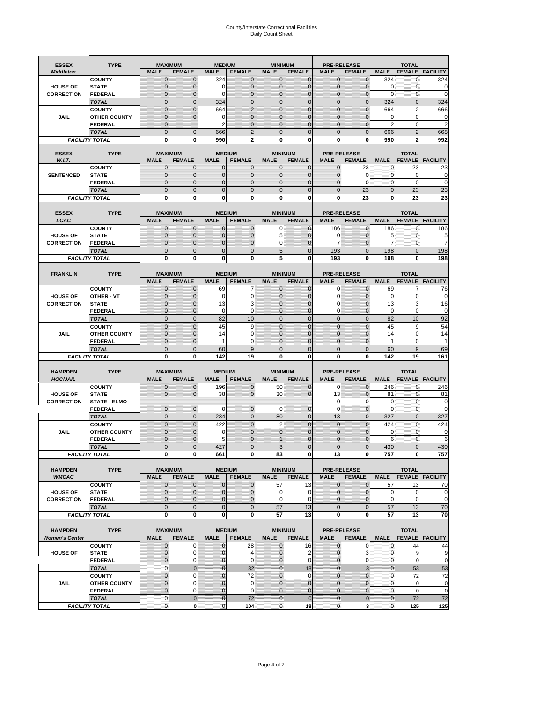# County/Interstate Correctional Facilities Daily Count Sheet

| <b>ESSEX</b>                            | <b>TYPE</b>                           |                               | <b>MAXIMUM</b>                  | <b>MEDIUM</b>                  |                                | <b>MINIMUM</b>                |                                 |                             | <b>PRE-RELEASE</b>                  |                              | <b>TOTAL</b>                    |                        |
|-----------------------------------------|---------------------------------------|-------------------------------|---------------------------------|--------------------------------|--------------------------------|-------------------------------|---------------------------------|-----------------------------|-------------------------------------|------------------------------|---------------------------------|------------------------|
| <b>Middleton</b>                        |                                       | <b>MALE</b>                   | <b>FEMALE</b>                   | <b>MALE</b>                    | <b>FEMALE</b>                  | <b>MALE</b>                   | <b>FEMALE</b>                   | MALE                        | <b>FEMALE</b>                       | <b>MALE</b>                  | <b>FEMALE</b>                   | <b>FACILITY</b>        |
|                                         | <b>COUNTY</b>                         | 0                             | 0                               | 324                            | 0                              | $\mathbf 0$                   | $\mathbf{0}$                    | $\mathbf{0}$                | $\Omega$                            | 324                          | 0                               | 324                    |
| <b>HOUSE OF</b>                         | <b>STATE</b>                          | 0                             | $\mathbf 0$                     | $\Omega$                       | 0                              | $\mathbf{0}$                  | $\Omega$                        | $\mathbf 0$                 | $\Omega$                            | $\Omega$                     | $\Omega$                        | 0                      |
| <b>CORRECTION</b>                       | <b>FEDERAL</b>                        | 0                             | $\mathbf 0$                     | 0                              | 0                              | $\mathbf{0}$                  | $\mathbf 0$                     | $\mathbf{0}$                | $\mathbf 0$<br>$\Omega$             | $\mathbf 0$                  | $\mathbf{0}$                    | $\mathbf 0$            |
|                                         | <b>TOTAL</b><br><b>COUNTY</b>         | $\overline{0}$<br>$\mathbf 0$ | $\overline{0}$<br>$\mathbf 0$   | 324<br>664                     | $\mathbf 0$<br>$\overline{2}$  | $\mathbf 0$<br>$\mathbf{0}$   | $\overline{0}$<br>$\Omega$      | $\mathbf 0$<br>$\mathbf 0$  | $\Omega$                            | 324<br>664                   | $\mathbf{0}$<br>$\overline{2}$  | 324<br>666             |
| JAIL                                    | <b>OTHER COUNTY</b>                   | $\mathbf 0$                   | $\overline{0}$                  | 0                              | 0                              | $\mathbf{0}$                  | $\mathbf{0}$                    | $\mathbf 0$                 | ſ                                   | 0                            | $\mathbf 0$                     | 0                      |
|                                         | <b>FEDERAL</b>                        | $\mathbf{0}$                  |                                 | $\overline{2}$                 | $\Omega$                       | $\mathbf{0}$                  | $\Omega$                        | $\mathbf{0}$                | 0                                   | $\overline{2}$               | $\mathbf 0$                     | $\overline{2}$         |
|                                         | <b>TOTAL</b>                          | $\overline{0}$                | $\mathbf 0$                     | 666                            | $\overline{2}$                 | $\Omega$                      | $\Omega$                        | $\overline{0}$              | $\Omega$                            | 666                          | $\overline{2}$                  | 668                    |
|                                         | <b>FACILITY TOTAL</b>                 | 0                             | 0                               | 990                            | 2                              | $\bf{0}$                      | 0                               | 0                           | 0                                   | 990                          | 2                               | 992                    |
|                                         |                                       |                               |                                 |                                |                                |                               |                                 |                             |                                     |                              |                                 |                        |
| <b>ESSEX</b><br>W.I.T.                  | <b>TYPE</b>                           | <b>MALE</b>                   | <b>MAXIMUM</b><br><b>FEMALE</b> | <b>MALE</b>                    | <b>MEDIUM</b><br><b>FEMALE</b> | <b>MALE</b>                   | <b>MINIMUM</b><br><b>FEMALE</b> | <b>MALE</b>                 | <b>PRE-RELEASE</b><br><b>FEMALE</b> | <b>MALE</b>                  | <b>TOTAL</b><br><b>FEMALE</b>   | <b>FACILITY</b>        |
|                                         | <b>COUNTY</b>                         | $\mathbf{0}$                  | 0                               | $\mathbf 0$                    | 0                              | $\mathbf 0$                   | $\mathbf{0}$                    | 0                           | 23                                  | 0                            | 23                              | 23                     |
| <b>SENTENCED</b>                        | <b>STATE</b>                          | 0                             | $\mathbf 0$                     | $\mathbf{0}$                   | $\mathbf 0$                    | $\mathbf{0}$                  | $\mathbf{0}$                    | 0                           | $\Omega$                            | $\mathbf 0$                  | $\mathbf 0$                     | 0                      |
|                                         | <b>FEDERAL</b>                        | $\overline{0}$                | $\mathbf 0$                     | $\mathbf{0}$                   | 0                              | $\mathbf{0}$                  | 0                               | $\mathbf 0$                 | $\Omega$                            | $\mathbf{0}$                 | $\Omega$                        | $\mathbf 0$            |
|                                         | <b>TOTAL</b>                          | $\overline{0}$                | $\overline{0}$                  | $\mathbf 0$                    | $\overline{0}$                 | $\mathbf{0}$                  | $\overline{0}$                  | $\overline{0}$              | 23                                  | $\mathbf{0}$                 | 23                              | 23                     |
|                                         | <b>FACILITY TOTAL</b>                 | 0                             | 0                               | $\bf{0}$                       | O                              | $\bf{0}$                      | $\mathbf{0}$                    | 0                           | 23                                  | $\bf{0}$                     | 23                              | 23                     |
|                                         |                                       |                               |                                 |                                |                                |                               |                                 |                             |                                     |                              |                                 |                        |
| <b>ESSEX</b><br>LCAC                    | <b>TYPE</b>                           | <b>MALE</b>                   | <b>MAXIMUM</b><br><b>FEMALE</b> | <b>MALE</b>                    | <b>MEDIUM</b><br><b>FEMALE</b> | <b>MALE</b>                   | <b>MINIMUM</b><br><b>FEMALE</b> | <b>MALE</b>                 | <b>PRE-RELEASE</b><br><b>FEMALE</b> | <b>MALE</b>                  | <b>TOTAL</b>                    | <b>FEMALE</b> FACILITY |
|                                         | <b>COUNTY</b>                         | 0                             | 0                               | $\mathbf{0}$                   | 0                              | 0                             | $\mathbf{0}$                    | 186                         | $\Omega$                            | 186                          | $\Omega$                        | 186                    |
| <b>HOUSE OF</b>                         | <b>STATE</b>                          | 0                             | $\overline{0}$                  | $\mathbf 0$                    | 0                              | 5                             | $\Omega$                        | 0                           | $\Omega$                            | 5                            | $\mathbf{0}$                    | 5                      |
| <b>CORRECTION</b>                       | FEDERAL                               | 0                             | 0                               | $\mathbf{0}$                   | 0                              | 0                             | $\Omega$                        | 7                           | $\Omega$                            | $\overline{7}$               | $\mathbf 0$                     | 7                      |
|                                         | <b>TOTAL</b>                          | $\Omega$                      | $\overline{0}$                  | $\mathbf 0$                    | $\overline{0}$                 | 5                             | $\Omega$                        | 193                         | $\Omega$                            | 198                          | $\Omega$                        | 198                    |
|                                         | <b>FACILITY TOTAL</b>                 | 0                             | 0                               | 0                              | 0                              | 5                             | 0                               | 193                         | 0                                   | 198                          | 0                               | 198                    |
|                                         |                                       |                               |                                 |                                |                                |                               |                                 |                             |                                     |                              |                                 |                        |
| <b>FRANKLIN</b>                         | <b>TYPE</b>                           |                               | <b>MAXIMUM</b>                  |                                | <b>MEDIUM</b>                  |                               | <b>MINIMUM</b>                  | <b>PRE-RELEASE</b>          |                                     |                              | <b>TOTAL</b>                    |                        |
|                                         |                                       | <b>MALE</b>                   | <b>FEMALE</b>                   | <b>MALE</b>                    | <b>FEMALE</b>                  | <b>MALE</b>                   | <b>FEMALE</b>                   | <b>MALE</b>                 | <b>FEMALE</b><br>$\Omega$           | <b>MALE</b>                  | <b>FEMALE</b><br>$\overline{7}$ | <b>FACILITY</b>        |
| <b>HOUSE OF</b>                         | <b>COUNTY</b><br><b>OTHER - VT</b>    | $\mathbf{0}$<br>0             | 0<br>$\overline{0}$             | 69<br>$\mathbf 0$              | 7<br>0                         | $\mathbf{0}$<br>$\mathbf{0}$  | 0<br>$\mathbf 0$                | 0<br>$\mathbf 0$            | $\Omega$                            | 69<br>$\mathbf 0$            | $\mathbf 0$                     | 76<br>$\mathbf 0$      |
| <b>CORRECTION</b>                       | <b>STATE</b>                          | $\Omega$                      | $\mathbf 0$                     | 13                             | 3                              | $\Omega$                      | $\Omega$                        | 0                           | $\sqrt{ }$                          | 13                           | 3                               | 16                     |
|                                         | FEDERAL                               | $\mathbf{0}$                  | $\overline{0}$                  | 0                              | 0                              | $\mathbf{0}$                  | $\mathbf{0}$                    | 0                           | $\overline{0}$                      | $\mathbf 0$                  | $\mathbf 0$                     | $\mathbf 0$            |
|                                         | <b>TOTAL</b>                          | $\overline{0}$                | $\overline{0}$                  | 82                             | 10                             | $\mathbf{0}$                  | $\mathbf{0}$                    | $\mathbf 0$                 | $\Omega$                            | 82                           | 10                              | 92                     |
|                                         | <b>COUNTY</b>                         | $\Omega$                      | $\overline{0}$                  | 45                             | 9                              | $\Omega$                      | $\Omega$                        | $\mathbf 0$                 | $\Omega$                            | 45                           | 9                               | 54                     |
| JAIL                                    | <b>OTHER COUNTY</b>                   | 0                             | $\mathbf 0$                     | 14                             | 0                              | $\mathbf 0$                   | $\Omega$                        | $\mathbf 0$                 | $\sqrt{ }$                          | 14                           | $\mathbf 0$                     | 14                     |
|                                         | <b>FEDERAL</b>                        | 0                             | 0                               | 1                              | 0                              | $\mathbf{0}$                  | $\Omega$                        | 0                           | $\Omega$                            | 1                            | $\mathbf 0$                     | $\overline{1}$         |
|                                         | <b>TOTAL</b><br><b>FACILITY TOTAL</b> | $\mathbf 0$<br>0              | $\overline{0}$<br>0             | 60<br>142                      | 9<br>19                        | $\mathbf{0}$<br>$\bf{0}$      | $\Omega$<br>0                   | $\overline{0}$<br>0         | $\Omega$<br>0                       | 60<br>142                    | 9<br>19                         | 69<br>161              |
|                                         |                                       |                               |                                 |                                |                                |                               |                                 |                             |                                     |                              |                                 |                        |
| <b>HAMPDEN</b>                          | <b>TYPE</b>                           |                               | <b>MAXIMUM</b>                  | <b>MEDIUM</b>                  |                                | <b>MINIMUM</b>                |                                 |                             | <b>PRE-RELEASE</b>                  |                              | <b>TOTAL</b>                    |                        |
| <b>HOC/JAIL</b>                         |                                       | <b>MALE</b>                   | <b>FEMALE</b>                   | <b>MALE</b>                    | <b>FEMALE</b>                  | <b>MALE</b>                   | <b>FEMALE</b>                   | <b>MALE</b>                 | <b>FEMALE</b>                       | <b>MALE</b>                  | <b>FEMALE</b>                   | <b>FACILITY</b>        |
|                                         | <b>COUNTY</b>                         | 0                             | $\mathbf 0$                     | 196                            | 0                              | 50                            | 0                               | 0                           | $\mathbf 0$                         | 246                          | $\mathbf{0}$                    | 246                    |
| <b>HOUSE OF</b>                         | <b>STATE</b>                          | 0                             | $\overline{0}$                  | 38                             | 0                              | 30                            | $\Omega$                        | 13                          | $\Omega$                            | 81                           | $\Omega$                        | 81                     |
| <b>CORRECTION</b>                       | <b>STATE - ELMO</b><br><b>FEDERAL</b> | $\mathbf{0}$                  | $\mathbf 0$                     | $\Omega$                       | 0                              | 0                             | $\mathbf{0}$                    | $\mathbf 0$<br>$\mathbf 0$  | 0<br>$\mathbf 0$                    | 0<br>$\Omega$                | $\mathbf{0}$<br>$\Omega$        | 0<br>$\mathbf 0$       |
|                                         | <b>TOTAL</b>                          | $\overline{0}$                | $\overline{0}$                  | 234                            | $\overline{0}$                 | 80                            | $\mathbf 0$                     | 13                          | $\Omega$                            | 327                          | $\Omega$                        | 327                    |
|                                         | <b>COUNTY</b>                         | $\overline{0}$                | $\overline{0}$                  | 422                            | 0                              | $\overline{2}$                | $\overline{0}$                  | $\mathbf 0$                 | $\overline{0}$                      | 424                          | $\mathbf{0}$                    | 424                    |
| <b>JAIL</b>                             | <b>OTHER COUNTY</b>                   | 0                             | $\mathbf 0$                     | 0                              | 0                              | $\mathbf 0$                   | $\Omega$                        | $\mathbf 0$                 | $\sqrt{ }$                          | $\mathbf 0$                  | $\mathbf 0$                     | 0                      |
|                                         | <b>FEDERAL</b>                        | $\Omega$                      | $\mathbf 0$                     | 5                              | $\Omega$                       | $\mathbf 1$                   | $\Omega$                        | $\mathbf 0$                 | $\Omega$                            | 6                            | $\Omega$                        | 6                      |
|                                         | <b>TOTAL</b>                          | $\overline{0}$                | $\overline{0}$                  | 427                            | $\Omega$                       | 3                             | $\overline{0}$                  | $\overline{0}$              | $\overline{0}$                      | 430                          | $\Omega$                        | 430                    |
|                                         | <b>FACILITY TOTAL</b>                 | $\mathbf{0}$                  | $\boldsymbol{0}$                | 661                            | o                              | 83                            | 0                               | 13                          | 0                                   | 757                          | $\mathbf{0}$                    | 757                    |
|                                         |                                       |                               |                                 |                                |                                |                               |                                 |                             |                                     |                              |                                 |                        |
| <b>HAMPDEN</b><br><b>WMCAC</b>          | <b>TYPE</b>                           | <b>MALE</b>                   | <b>MAXIMUM</b><br><b>FEMALE</b> | <b>MALE</b>                    | <b>MEDIUM</b><br><b>FEMALE</b> | <b>MALE</b>                   | <b>MINIMUM</b><br><b>FEMALE</b> | <b>MALE</b>                 | <b>PRE-RELEASE</b><br><b>FEMALE</b> | <b>MALE</b>                  | <b>TOTAL</b>                    | <b>FEMALE</b> FACILITY |
|                                         | <b>COUNTY</b>                         | $\mathbf 0$                   | $\mathbf{0}$                    | $\mathbf 0$                    | 0                              | 57                            | 13                              | $\mathbf 0$                 | $\mathbf{0}$                        | 57                           | 13                              | 70                     |
| <b>HOUSE OF</b>                         | <b>STATE</b>                          | $\mathbf{0}$                  | $\mathbf{0}$                    | $\overline{0}$                 | 0                              | $\pmb{0}$                     | $\mathbf 0$                     | $\mathbf{0}$                | $\overline{0}$                      | $\mathbf 0$                  | $\mathbf 0$                     | 0                      |
| <b>CORRECTION</b>                       | <b>FEDERAL</b>                        | $\mathbf{0}$                  | 0                               | $\overline{0}$                 | 0                              | $\mathbf 0$                   | 0                               | 0                           | 0                                   | $\mathbf 0$                  | $\mathbf 0$                     | $\mathbf 0$            |
|                                         | <b>TOTAL</b>                          | $\mathbf 0$                   | $\mathbf{0}$                    | $\overline{0}$                 | $\overline{0}$                 | 57                            | 13                              | $\mathbf 0$                 | $\mathbf 0$                         | 57                           | 13                              | 70                     |
|                                         | <b>FACILITY TOTAL</b>                 | $\bf{0}$                      | $\mathbf{0}$                    | $\mathbf{0}$                   | 0                              | 57                            | 13                              | 0                           | $\bf{0}$                            | 57                           | 13                              | 70                     |
|                                         |                                       |                               |                                 |                                |                                |                               |                                 |                             |                                     |                              |                                 |                        |
| <b>HAMPDEN</b><br><b>Women's Center</b> | <b>TYPE</b>                           | <b>MALE</b>                   | <b>MAXIMUM</b><br><b>FEMALE</b> | <b>MALE</b>                    | <b>MEDIUM</b><br><b>FEMALE</b> | <b>MALE</b>                   | <b>MINIMUM</b><br><b>FEMALE</b> | <b>MALE</b>                 | <b>PRE-RELEASE</b><br><b>FEMALE</b> | <b>MALE</b>                  | <b>TOTAL</b>                    | <b>FEMALE</b> FACILITY |
|                                         | <b>COUNTY</b>                         | 0                             | 0                               | $\mathbf{0}$                   | 28                             | 0                             | 16                              | 0                           | 0                                   | 0                            | 44                              | 44                     |
| <b>HOUSE OF</b>                         | <b>STATE</b>                          | $\mathbf{0}$                  | $\mathbf 0$                     | $\mathbf{0}$                   | 4                              | $\mathbf{0}$                  | 2                               | $\mathbf 0$                 | 3                                   | $\mathbf 0$                  | 9                               | 9                      |
|                                         | <b>FEDERAL</b>                        | 0                             | 0                               | 0                              | 0                              | $\mathbf{0}$                  | 0                               | $\mathbf{0}$                | 0                                   | $\overline{0}$               | $\mathbf 0$                     | $\mathbf 0$            |
|                                         | <b>TOTAL</b>                          | $\mathbf{0}$                  | $\mathbf 0$                     | $\overline{0}$                 | 32                             | $\mathbf{0}$                  | 18                              | $\mathbf{0}$                | 3                                   | $\mathbf{0}$                 | 53                              | 53                     |
|                                         | <b>COUNTY</b>                         | $\overline{0}$                | $\mathbf 0$                     | $\mathbf{0}$                   | 72                             | $\mathbf{0}$                  | $\mathbf 0$                     | $\overline{0}$              | $\mathbf 0$                         | $\mathbf 0$                  | 72                              | 72                     |
| <b>JAIL</b>                             | <b>OTHER COUNTY</b>                   | 0                             | $\mathbf 0$                     | $\mathbf{0}$                   | 0                              | $\mathbf 0$                   | $\mathbf{0}$                    | 0                           | $\overline{0}$                      | $\mathbf 0$                  | $\mathbf 0$                     | $\pmb{0}$              |
|                                         |                                       |                               |                                 |                                |                                |                               |                                 |                             |                                     |                              |                                 |                        |
|                                         | <b>FEDERAL</b><br><b>TOTAL</b>        | $\overline{0}$<br>$\mathbf 0$ | $\mathbf 0$<br>$\mathbf 0$      | $\mathbf{0}$<br>$\overline{0}$ | 0<br>72                        | $\mathbf 0$<br>$\overline{0}$ | $\mathbf{0}$<br>$\mathbf 0$     | $\mathbf 0$<br>$\mathbf{0}$ | $\overline{0}$<br>$\mathbf 0$       | $\mathbf{0}$<br>$\mathbf{0}$ | $\mathbf 0$<br>72               | $\mathbf 0$<br>72      |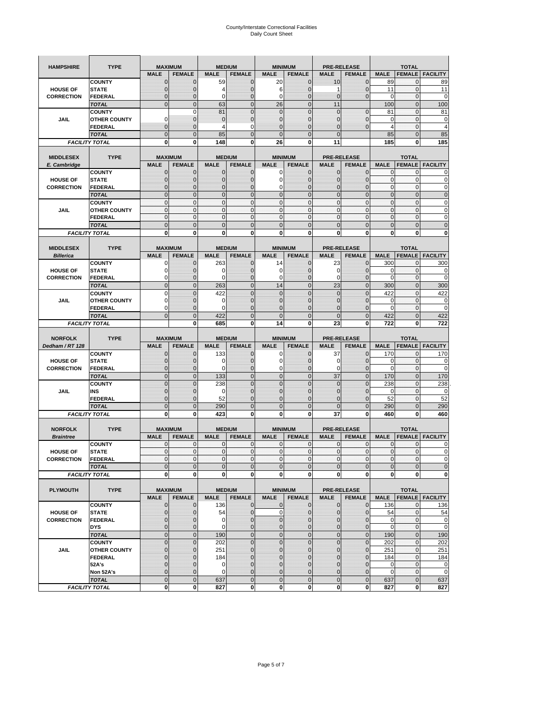| <b>HAMPSHIRE</b>  | <b>TYPE</b>                           |                             | <b>MAXIMUM</b>             |                             | <b>MEDIUM</b>    |                            | <b>MINIMUM</b>                 |                  | <b>PRE-RELEASE</b>      |                             | <b>TOTAL</b>             |                                                                                                                                                       |
|-------------------|---------------------------------------|-----------------------------|----------------------------|-----------------------------|------------------|----------------------------|--------------------------------|------------------|-------------------------|-----------------------------|--------------------------|-------------------------------------------------------------------------------------------------------------------------------------------------------|
|                   |                                       | <b>MALE</b>                 | <b>FEMALE</b>              | <b>MALE</b>                 | <b>FEMALE</b>    | <b>MALE</b>                | <b>FEMALE</b>                  | <b>MALE</b>      | <b>FEMALE</b>           | <b>MALE</b>                 | <b>FEMALE</b>            | <b>FACILITY</b>                                                                                                                                       |
|                   | <b>COUNTY</b>                         | $\mathbf 0$                 | $\mathbf 0$                | 59                          | $\mathbf 0$      | 20                         | $\mathbf 0$                    | 10               | $\mathbf 0$             | 89                          | $\mathbf{0}$             | 89                                                                                                                                                    |
| <b>HOUSE OF</b>   | <b>STATE</b>                          | $\mathbf{0}$                | $\overline{0}$             | 4                           | $\mathbf 0$      | 6                          | $\overline{0}$                 | 1                | $\mathbf 0$             | 11                          | $\mathbf 0$              | 11                                                                                                                                                    |
| <b>CORRECTION</b> | <b>FEDERAL</b>                        | $\mathbf{0}$                | 0                          | $\mathbf 0$                 | $\mathbf 0$      | 0                          | $\overline{0}$                 | $\mathbf 0$      | $\mathbf 0$             | 0                           | 0                        | 0                                                                                                                                                     |
|                   | <b>TOTAL</b>                          | $\mathbf{0}$                | $\overline{0}$             | 63                          | $\mathbf{0}$     | 26                         | $\mathbf{0}$                   | 11               |                         | 100                         | $\mathbf{0}$             | 100                                                                                                                                                   |
|                   | <b>COUNTY</b>                         |                             | $\mathbf 0$                | 81                          | $\overline{0}$   | $\mathbf 0$                | $\overline{0}$                 | $\mathbf 0$      | $\overline{0}$          | 81                          | $\mathbf{0}$             | 81                                                                                                                                                    |
| JAIL              | <b>OTHER COUNTY</b>                   | $\Omega$                    | $\mathbf{0}$               | $\mathbf 0$                 | $\mathbf 0$      | $\mathbf{0}$               | $\mathbf 0$                    | 0                | $\mathbf 0$             | 0                           | $\mathbf 0$              | 0                                                                                                                                                     |
|                   | FEDERAL                               | $\mathbf{0}$                | $\overline{0}$             | 4                           | 0                | $\overline{0}$             | $\mathbf{0}$                   | $\overline{0}$   | $\mathbf 0$             | $\overline{4}$              | $\mathbf{0}$             | $\overline{4}$                                                                                                                                        |
|                   | <b>TOTAL</b>                          | $\mathbf{0}$                | $\mathbf 0$                | 85                          | $\mathbf 0$      | $\overline{0}$             | $\mathbf 0$                    | $\mathbf{0}$     |                         | 85                          | $\mathbf 0$              | 85                                                                                                                                                    |
|                   | <b>FACILITY TOTAL</b>                 | 0                           | 0                          | 148                         | 0                | 26                         | 0                              | 11               |                         | 185                         | 0                        | 185                                                                                                                                                   |
|                   |                                       |                             |                            |                             |                  |                            |                                |                  |                         |                             |                          |                                                                                                                                                       |
| <b>MIDDLESEX</b>  | <b>TYPE</b>                           |                             | <b>MAXIMUM</b>             |                             | <b>MEDIUM</b>    |                            | <b>MINIMUM</b>                 |                  | <b>PRE-RELEASE</b>      |                             | <b>TOTAL</b>             |                                                                                                                                                       |
| E. Cambridge      |                                       | <b>MALE</b>                 | <b>FEMALE</b>              | <b>MALE</b>                 | <b>FEMALE</b>    | <b>MALE</b>                | <b>FEMALE</b>                  | <b>MALE</b>      | <b>FEMALE</b>           | <b>MALE</b>                 | <b>FEMALE</b>            | <b>FACILITY</b>                                                                                                                                       |
| <b>HOUSE OF</b>   | <b>COUNTY</b><br><b>STATE</b>         | $\mathbf 0$<br>$\mathbf{0}$ | $\mathbf 0$<br>$\mathbf 0$ | 0<br>$\mathbf 0$            | 0<br>$\mathbf 0$ | 0<br>$\mathbf 0$           | $\mathbf{0}$<br>$\overline{0}$ | 0<br>0           | 0<br>$\overline{0}$     | 0<br>$\pmb{0}$              | 0<br>$\mathbf 0$         | 0<br>0                                                                                                                                                |
| <b>CORRECTION</b> | <b>FEDERAL</b>                        | $\mathbf 0$                 | $\mathbf{0}$               | $\mathbf 0$                 | $\mathbf 0$      | 0                          | $\overline{0}$                 | 0                | $\mathbf 0$             | $\mathbf{0}$                | $\mathbf 0$              | 0                                                                                                                                                     |
|                   |                                       | $\Omega$                    | $\mathbf 0$                | $\mathbf{0}$                | $\Omega$         | $\overline{0}$             | $\Omega$                       | $\mathbf{0}$     | $\overline{0}$          | $\pmb{0}$                   | $\mathbf{0}$             | $\overline{0}$                                                                                                                                        |
|                   | <b>TOTAL</b><br><b>COUNTY</b>         | $\mathbf{0}$                | $\mathbf{0}$               | $\mathbf{0}$                | $\mathbf 0$      | $\mathbf{0}$               | $\mathbf{0}$                   | $\mathbf{0}$     | $\mathbf 0$             | $\mathbf{0}$                | $\mathbf{0}$             | 0                                                                                                                                                     |
| JAIL              | <b>OTHER COUNTY</b>                   | $\mathbf{0}$                | $\mathbf 0$                | $\mathbf 0$                 | 0                | $\mathbf{0}$               | $\overline{0}$                 | $\mathbf{0}$     | 0                       | $\pmb{0}$                   | 0                        | 0                                                                                                                                                     |
|                   | <b>FEDERAL</b>                        | $\mathbf{0}$                | $\mathbf{0}$               | $\mathbf 0$                 | $\mathbf 0$      | $\mathbf{0}$               | $\overline{0}$                 | $\mathbf{0}$     | $\mathbf 0$             | $\mathbf{0}$                | $\mathbf{0}$             | 0                                                                                                                                                     |
|                   | <b>TOTAL</b>                          | $\mathbf{0}$                | $\overline{0}$             | $\overline{0}$              | $\overline{0}$   | $\overline{0}$             | $\overline{0}$                 | $\overline{0}$   | $\overline{0}$          | $\mathbf{0}$                | $\overline{0}$           | $\overline{0}$                                                                                                                                        |
|                   | <b>FACILITY TOTAL</b>                 | 0                           | 0                          | 0                           | 0                | 0                          | 0                              | 0                | 0                       | 0                           | 0                        | O                                                                                                                                                     |
|                   |                                       |                             |                            |                             |                  |                            |                                |                  |                         |                             |                          |                                                                                                                                                       |
| <b>MIDDLESEX</b>  | <b>TYPE</b>                           |                             | <b>MAXIMUM</b>             |                             | <b>MEDIUM</b>    |                            | <b>MINIMUM</b>                 |                  | <b>PRE-RELEASE</b>      |                             | <b>TOTAL</b>             |                                                                                                                                                       |
| <b>Billerica</b>  |                                       | <b>MALE</b>                 | <b>FEMALE</b>              | <b>MALE</b>                 | <b>FEMALE</b>    | <b>MALE</b>                | <b>FEMALE</b>                  | <b>MALE</b>      | <b>FEMALE</b>           | <b>MALE</b>                 | <b>FEMALE</b>            | <b>FACILITY</b>                                                                                                                                       |
|                   | <b>COUNTY</b>                         | 0                           | $\mathbf 0$                | 263                         | 0                | 14                         | $\mathbf{0}$                   | 23               | $\mathbf 0$             | 300                         | 0                        | 300                                                                                                                                                   |
| <b>HOUSE OF</b>   | <b>STATE</b>                          | 0                           | $\mathbf 0$                | 0                           | $\mathbf 0$      | 0                          | 0                              | 0                | $\mathbf 0$             | 0                           | 0                        | 0                                                                                                                                                     |
| <b>CORRECTION</b> | <b>FEDERAL</b>                        | 0                           | $\mathbf{0}$               | 0                           | 0                | 0                          | $\mathbf{0}$                   | 0                | $\mathbf 0$             | 0                           | 0                        | 0                                                                                                                                                     |
|                   | <b>TOTAL</b>                          | $\mathbf{0}$                | $\mathbf 0$                | 263                         | $\mathbf 0$      | 14                         | $\overline{0}$                 | 23               | $\overline{0}$          | 300                         | $\mathbf{0}$             | 300                                                                                                                                                   |
|                   | <b>COUNTY</b>                         | $\Omega$                    | $\overline{0}$             | 422                         | $\Omega$         | $\overline{0}$             | $\Omega$                       | $\overline{0}$   | $\Omega$                | 422                         | $\mathbf 0$              | 422                                                                                                                                                   |
| JAIL              | <b>OTHER COUNTY</b>                   | 0                           | 0                          | $\mathbf 0$                 | $\mathbf{0}$     | $\mathbf 0$                | $\mathbf{0}$                   | $\mathbf{0}$     | $\overline{0}$          | 0                           | 0                        | 0                                                                                                                                                     |
|                   | <b>FEDERAL</b>                        | $\Omega$                    | $\mathbf 0$                | $\Omega$                    | $\mathbf 0$      | $\mathbf 0$                | $\mathbf 0$                    | 0                | $\mathbf 0$             | $\Omega$                    | $\mathbf 0$              | $\mathbf 0$                                                                                                                                           |
|                   | <b>TOTAL</b>                          | $\mathbf 0$                 | $\overline{0}$             | 422                         | $\overline{0}$   | $\overline{0}$             | $\overline{0}$                 | $\overline{0}$   | $\overline{0}$          | 422                         | $\overline{0}$           | 422                                                                                                                                                   |
|                   | <b>FACILITY TOTAL</b>                 |                             | 0                          | 685                         | 0                | 14                         | $\mathbf{0}$                   | 23               | 0                       | 722                         | 0                        | 722                                                                                                                                                   |
|                   |                                       |                             |                            |                             |                  |                            |                                |                  |                         |                             |                          |                                                                                                                                                       |
|                   |                                       |                             |                            |                             |                  |                            |                                |                  |                         |                             |                          |                                                                                                                                                       |
| <b>NORFOLK</b>    | <b>TYPE</b>                           |                             | <b>MAXIMUM</b>             |                             | <b>MEDIUM</b>    |                            | <b>MINIMUM</b>                 |                  | <b>PRE-RELEASE</b>      |                             | <b>TOTAL</b>             |                                                                                                                                                       |
| Dedham / RT 128   |                                       | <b>MALE</b>                 | <b>FEMALE</b>              | <b>MALE</b>                 | <b>FEMALE</b>    | <b>MALE</b>                | <b>FEMALE</b>                  | <b>MALE</b>      | <b>FEMALE</b>           | <b>MALE</b>                 | <b>FEMALE</b>            | <b>FACILITY</b>                                                                                                                                       |
|                   | <b>COUNTY</b>                         | 0                           | $\mathbf 0$                | 133                         | 0                | 0                          | $\mathbf{0}$                   | 37               | 0                       | 170                         | 0                        | 170                                                                                                                                                   |
| <b>HOUSE OF</b>   | <b>STATE</b>                          | $\mathbf{0}$                | $\mathbf 0$                | 0                           | $\mathbf{0}$     | 0                          | $\mathbf{0}$                   | 0                | $\mathbf 0$             | 0                           | $\mathbf 0$              | 0                                                                                                                                                     |
| <b>CORRECTION</b> | FEDERAL                               | $\mathbf{0}$                | 0                          | 0                           | 0                | 0                          | $\overline{0}$                 | 0                | 0                       | $\mathbf 0$                 | $\mathbf 0$              | 0                                                                                                                                                     |
|                   | <b>TOTAL</b>                          | $\pmb{0}$                   | $\mathbf 0$                | 133                         | $\mathbf 0$      | $\mathbf 0$                | $\overline{0}$                 | 37               | $\mathbf 0$             | 170                         | $\mathbf 0$              | 170                                                                                                                                                   |
|                   | <b>COUNTY</b>                         | $\Omega$                    | $\overline{0}$             | 238                         | $\overline{0}$   | $\overline{0}$             | $\Omega$                       | $\mathbf 0$      | $\overline{0}$          | 238                         | 0                        | 238                                                                                                                                                   |
| JAIL              | INS                                   | $\mathbf{0}$                | 0                          | 0                           | $\mathbf{0}$     | $\mathbf{0}$               | $\mathbf{0}$                   | 0                | $\mathbf 0$             | 0                           | 0                        |                                                                                                                                                       |
|                   | <b>FEDERAL</b>                        | $\mathbf{0}$                | $\overline{0}$             | 52                          | $\mathbf 0$      | $\overline{0}$             | $\Omega$                       | $\mathbf 0$      | $\mathbf 0$             | 52                          | $\mathbf 0$              | 52                                                                                                                                                    |
|                   | <b>TOTAL</b>                          | $\mathbf 0$                 | $\overline{0}$             | 290                         | $\overline{0}$   | $\overline{0}$             | $\overline{0}$                 | $\Omega$         | $\overline{0}$          | 290                         | $\overline{0}$           | 290                                                                                                                                                   |
|                   | <b>FACILITY TOTAL</b>                 | 0                           | 0                          | 423                         | 0                | 0                          | 0                              | 37               | 0                       | 460                         | 0                        | 460                                                                                                                                                   |
|                   |                                       |                             |                            |                             |                  |                            |                                |                  |                         |                             |                          |                                                                                                                                                       |
| <b>NORFOLK</b>    | <b>TYPE</b>                           |                             | <b>MAXIMUM</b>             |                             | <b>MEDIUM</b>    |                            | <b>MINIMUM</b>                 |                  | <b>PRE-RELEASE</b>      |                             | <b>TOTAL</b>             |                                                                                                                                                       |
| <b>Braintree</b>  |                                       | <b>MALE</b>                 | <b>FEMALE</b>              | <b>MALE</b>                 | <b>FEMALE</b>    | <b>MALE</b>                | <b>FEMALE</b>                  | <b>MALE</b>      | <b>FEMALE</b>           | <b>MALE</b>                 | <b>FEMALE</b>            | <b>FACILITY</b>                                                                                                                                       |
|                   | <b>COUNTY</b>                         | $\mathbf{0}$<br>$\Omega$    | $\mathbf{0}$<br>$\Omega$   | $\mathbf 0$<br>$\Omega$     | 0                | 0<br>$\Omega$              | $\mathbf{0}$<br>$\Omega$       | 0                | $\mathbf 0$<br>$\Omega$ | $\mathbf 0$<br>$\Omega$     | 0<br>$\Omega$            | 0                                                                                                                                                     |
| <b>HOUSE OF</b>   | <b>STATE</b>                          |                             |                            |                             | $\overline{0}$   |                            |                                | $\mathbf{0}$     |                         |                             |                          |                                                                                                                                                       |
| <b>CORRECTION</b> | FEDERAL                               | $\mathbf 0$                 | 0<br>$\overline{0}$        | $\mathbf 0$<br>$\mathbf{0}$ | $\mathbf 0$      | $\mathbf 0$<br>$\mathbf 0$ | $\overline{0}$                 | $\mathbf 0$      | $\mathbf 0$             | $\overline{0}$              | $\mathbf 0$              |                                                                                                                                                       |
|                   | <b>TOTAL</b><br><b>FACILITY TOTAL</b> | $\mathbf 0$<br>$\mathbf 0$  | 0                          | 0                           | $\mathbf 0$<br>0 | $\mathbf 0$                | $\mathbf 0$<br><sub>0</sub>    | $\mathbf 0$<br>0 | $\mathbf 0$<br>0        | $\mathbf 0$<br>$\mathbf{0}$ | $\pmb{0}$<br>$\mathbf 0$ |                                                                                                                                                       |
|                   |                                       |                             |                            |                             |                  |                            |                                |                  |                         |                             |                          |                                                                                                                                                       |
| <b>PLYMOUTH</b>   | <b>TYPE</b>                           |                             | <b>MAXIMUM</b>             |                             | <b>MEDIUM</b>    |                            | <b>MINIMUM</b>                 |                  | <b>PRE-RELEASE</b>      |                             | <b>TOTAL</b>             |                                                                                                                                                       |
|                   |                                       | <b>MALE</b>                 | <b>FEMALE</b>              | <b>MALE</b>                 | <b>FEMALE</b>    | <b>MALE</b>                | <b>FEMALE</b>                  | <b>MALE</b>      | <b>FEMALE</b>           | <b>MALE</b>                 |                          | <b>FEMALE   FACILITY</b>                                                                                                                              |
|                   | <b>COUNTY</b>                         | $\mathbf{0}$                | 0                          | 136                         | $\mathbf{0}$     | 0                          | $\mathbf{O}$                   | $\mathbf 0$      | $\mathbf{0}$            | 136                         | $\mathbf 0$              |                                                                                                                                                       |
| <b>HOUSE OF</b>   | <b>STATE</b>                          | $\mathbf{0}$                | $\mathbf 0$                | 54                          | $\mathbf{0}$     | $\mathbf 0$                | $\mathbf{0}$                   | $\mathbf{0}$     | $\overline{0}$          | 54                          | $\mathbf 0$              |                                                                                                                                                       |
| <b>CORRECTION</b> | <b>FEDERAL</b>                        | $\mathbf 0$                 | $\mathbf{0}$               | $\mathbf 0$                 | $\pmb{0}$        | $\mathbf 0$                | $\mathbf{0}$                   | 0                | $\mathbf 0$             | $\mathbf 0$                 | $\mathbf 0$              |                                                                                                                                                       |
|                   | <b>DYS</b>                            | $\mathbf{0}$                | $\mathbf{0}$               | 0                           | $\mathbf{0}$     | $\mathbf 0$                | $\mathbf{0}$                   | $\mathbf 0$      | $\overline{0}$          | $\mathbf 0$                 | $\mathbf{O}$             |                                                                                                                                                       |
|                   | <b>TOTAL</b>                          | $\mathbf 0$                 | $\mathbf 0$                | 190                         | $\mathbf 0$      | $\mathbf 0$                | $\mathbf 0$                    | $\mathbf 0$      | $\pmb{0}$               | 190                         | $\mathbf{0}$             |                                                                                                                                                       |
|                   | <b>COUNTY</b>                         | $\mathbf 0$                 | $\mathbf 0$                | 202                         | $\mathbf{0}$     | $\mathbf 0$                | $\overline{0}$                 | $\mathbf 0$      | $\mathbf 0$             | 202                         | $\mathbf 0$              | 202                                                                                                                                                   |
| JAIL              | <b>OTHER COUNTY</b>                   | $\mathbf{0}$                | $\mathbf{0}$               | 251                         | 0                | $\mathbf 0$                | $\mathbf{0}$                   | 0                | $\mathbf{0}$            | 251                         | $\mathbf 0$              | 251                                                                                                                                                   |
|                   | <b>FEDERAL</b>                        | $\mathbf{0}$                | $\mathbf{0}$               | 184                         | 0                | $\mathbf 0$                | $\overline{0}$                 | 0                | $\overline{0}$          | 184                         | $\mathbf 0$              |                                                                                                                                                       |
|                   | 52A's                                 | $\mathbf{0}$                | $\mathbf{0}$               | 0                           | $\mathbf{0}$     | $\mathbf{0}$               | $\overline{0}$                 | 0                | $\mathbf 0$             | $\mathbf 0$                 | $\mathbf{O}$             |                                                                                                                                                       |
|                   | Non 52A's                             | $\mathbf{0}$                | $\mathbf{0}$               | $\mathbf 0$                 | $\mathbf{0}$     | $\mathbf 0$                | $\overline{0}$                 | $\mathbf 0$      | 0                       | $\mathbf 0$                 | $\mathbf 0$              |                                                                                                                                                       |
|                   | <b>TOTAL</b><br><b>FACILITY TOTAL</b> | $\mathbf 0$<br>0            | $\mathbf 0$<br>0           | 637<br>827                  | $\mathbf 0$<br>0 | $\mathbf 0$<br>$\mathbf 0$ | $\mathbf{0}$<br>$\mathbf{0}$   | $\mathbf 0$<br>0 | $\pmb{0}$<br>$\pmb{0}$  | 637<br>827                  | $\mathbf 0$<br>$\bf{0}$  | 0<br>$\Omega$<br>$\mathbf 0$<br>$\mathbf 0$<br>0<br>136<br>54<br>$\mathbf 0$<br>$\mathbf 0$<br>190<br>184<br>$\mathbf 0$<br>$\mathbf 0$<br>637<br>827 |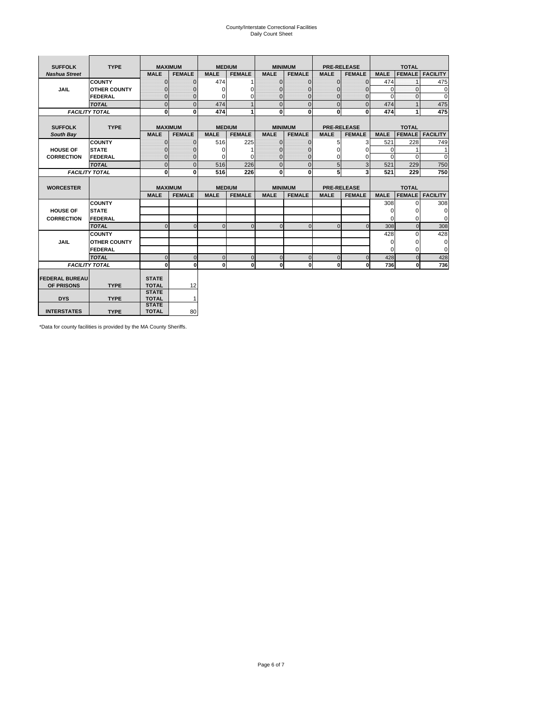# County/Interstate Correctional Facilities Daily Count Sheet

| <b>SUFFOLK</b>        | <b>TYPE</b>           |                              | <b>MAXIMUM</b> |             | <b>MEDIUM</b> |                | <b>MINIMUM</b> |              | <b>PRE-RELEASE</b> |             | <b>TOTAL</b>  |                 |
|-----------------------|-----------------------|------------------------------|----------------|-------------|---------------|----------------|----------------|--------------|--------------------|-------------|---------------|-----------------|
| <b>Nashua Street</b>  |                       | <b>MALE</b>                  | <b>FEMALE</b>  | <b>MALE</b> | <b>FEMALE</b> | <b>MALE</b>    | <b>FEMALE</b>  | <b>MALE</b>  | <b>FEMALE</b>      | <b>MALE</b> | <b>FEMALE</b> | <b>FACILITY</b> |
|                       | <b>COUNTY</b>         | $\Omega$                     | $\mathbf{0}$   | 474         |               | $\mathbf{0}$   | $\Omega$       | $\mathbf{0}$ | $\Omega$           | 474         |               | 475             |
| JAIL                  | <b>OTHER COUNTY</b>   | $\Omega$                     | $\Omega$       | $\Omega$    | 0             | $\Omega$       | $\Omega$       | $\Omega$     | $\Omega$           | $\Omega$    | $\Omega$      | 0               |
|                       | <b>FEDERAL</b>        | $\mathbf{0}$                 | $\mathbf{0}$   | 0           | 0             | $\mathbf{0}$   | $\mathbf{0}$   | $\mathbf 0$  | $\mathbf{0}$       | $\Omega$    | 0             | 0               |
|                       | <b>TOTAL</b>          | $\Omega$                     | $\Omega$       | 474         |               | $\overline{0}$ | $\Omega$       | $\Omega$     | $\Omega$           | 474         |               | 475             |
|                       | <b>FACILITY TOTAL</b> | 0                            | $\mathbf{0}$   | 474         |               | $\mathbf{0}$   | $\bf{0}$       | $\mathbf{0}$ | 0                  | 474         |               | 475             |
|                       |                       |                              |                |             |               |                |                |              |                    |             |               |                 |
| <b>SUFFOLK</b>        | <b>TYPE</b>           |                              | <b>MAXIMUM</b> |             | <b>MEDIUM</b> |                | <b>MINIMUM</b> |              | <b>PRE-RELEASE</b> |             | <b>TOTAL</b>  |                 |
| South Bay             |                       | <b>MALE</b>                  | <b>FEMALE</b>  | <b>MALE</b> | <b>FEMALE</b> | <b>MALE</b>    | <b>FEMALE</b>  | <b>MALE</b>  | <b>FEMALE</b>      | <b>MALE</b> | <b>FEMALE</b> | <b>FACILITY</b> |
|                       | <b>COUNTY</b>         | $\Omega$                     | $\mathbf{0}$   | 516         | 225           | $\mathbf{0}$   | $\mathbf{0}$   | 5            | 3                  | 521         | 228           | 749             |
| <b>HOUSE OF</b>       | <b>STATE</b>          |                              | $\overline{0}$ | $\Omega$    |               | $\Omega$       | O              | $\Omega$     | $\Omega$           | $\Omega$    |               | 1               |
| <b>CORRECTION</b>     | <b>FEDERAL</b>        | $\Omega$                     | $\overline{0}$ | 0           | $\Omega$      | $\mathbf{0}$   | $\Omega$       | $\Omega$     | 0                  | $\Omega$    | $\Omega$      | $\Omega$        |
|                       | <b>TOTAL</b>          | $\Omega$                     | $\overline{0}$ | 516         | 226           | $\mathbf 0$    | $\mathbf{0}$   | 5            | 3                  | 521         | 229           | 750             |
|                       | <b>FACILITY TOTAL</b> | 0                            | 0              | 516         | 226           | $\mathbf{0}$   | 0              | 5            | 3                  | 521         | 229           | 750             |
|                       |                       |                              |                |             |               |                |                |              |                    |             |               |                 |
| <b>WORCESTER</b>      |                       |                              | <b>MAXIMUM</b> |             | <b>MEDIUM</b> |                | <b>MINIMUM</b> |              | <b>PRE-RELEASE</b> |             | <b>TOTAL</b>  |                 |
|                       |                       | <b>MALE</b>                  | <b>FEMALE</b>  | <b>MALE</b> | <b>FEMALE</b> | <b>MALE</b>    | <b>FEMALE</b>  | <b>MALE</b>  | <b>FEMALE</b>      | <b>MALE</b> | <b>FEMALE</b> | <b>FACILITY</b> |
|                       | <b>COUNTY</b>         |                              |                |             |               |                |                |              |                    | 308         | $\Omega$      | 308             |
| <b>HOUSE OF</b>       | <b>STATE</b>          |                              |                |             |               |                |                |              |                    | 0           | 0             | 0               |
| <b>CORRECTION</b>     | FEDERAL               |                              |                |             |               |                |                |              |                    | $\Omega$    | $\Omega$      | 0               |
|                       | <b>TOTAL</b>          | $\Omega$                     | $\mathbf{0}$   | $\Omega$    | $\mathbf 0$   | $\mathbf{0}$   | $\mathbf{0}$   | $\mathbf{0}$ | $\Omega$           | 308         | $\mathbf{0}$  | 308             |
|                       | <b>COUNTY</b>         |                              |                |             |               |                |                |              |                    | 428         | $\Omega$      | 428             |
| <b>JAIL</b>           | <b>OTHER COUNTY</b>   |                              |                |             |               |                |                |              |                    | $\Omega$    | $\Omega$      | 0               |
|                       | FEDERAL               |                              |                |             |               |                |                |              |                    | $\Omega$    | $\Omega$      | $\mathbf 0$     |
|                       | <b>TOTAL</b>          | $\cap$                       | $\Omega$       | $\Omega$    | $\mathbf{0}$  | $\mathbf{0}$   | $\Omega$       | $\Omega$     | $\Omega$           | 428         | $\Omega$      | 428             |
|                       | <b>FACILITY TOTAL</b> | $\Omega$                     | 0              | $\Omega$    | 0             | $\mathbf{0}$   | $\bf{0}$       | $\mathbf 0$  | 0                  | 736         | O             | 736             |
|                       |                       |                              |                |             |               |                |                |              |                    |             |               |                 |
| <b>FEDERAL BUREAU</b> |                       | <b>STATE</b>                 |                |             |               |                |                |              |                    |             |               |                 |
| OF PRISONS            | <b>TYPE</b>           | <b>TOTAL</b><br><b>STATE</b> | 12             |             |               |                |                |              |                    |             |               |                 |
| <b>DYS</b>            | <b>TYPE</b>           | <b>TOTAL</b>                 | $\mathbf{1}$   |             |               |                |                |              |                    |             |               |                 |
|                       |                       |                              |                |             |               |                |                |              |                    |             |               |                 |
|                       |                       | <b>STATE</b>                 |                |             |               |                |                |              |                    |             |               |                 |

\*Data for county facilities is provided by the MA County Sheriffs.